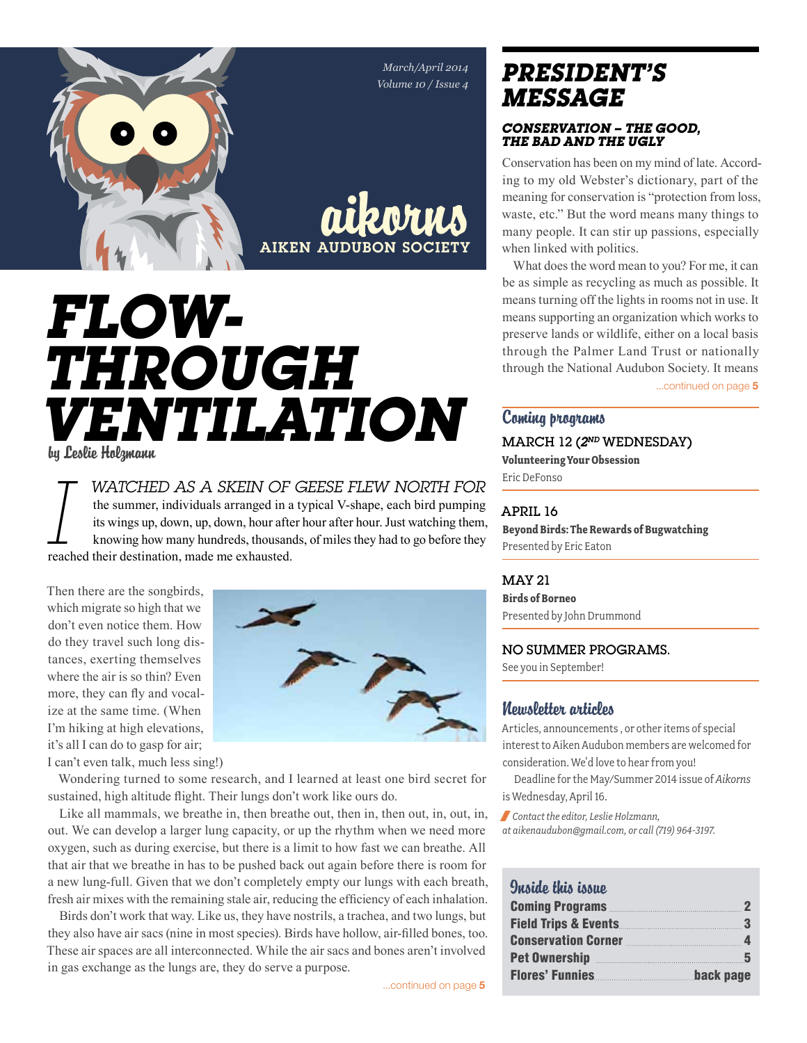*March/April 2014 Volume 10 / Issue 4*



aikorns Aiken Audubon Society

# *FLOW-THROUGH VENTILATION* by Leslie Holzmann

**I** *WATCHED AS A SKEIN OF GEESE FLEW NORTH FOR* the summer, individuals arranged in a typical V-shape, each bird pumping its wings up, down, up, down, hour after hour after hour. Just watching them, knowing how many hundr the summer, individuals arranged in a typical V-shape, each bird pumping its wings up, down, up, down, hour after hour after hour. Just watching them, knowing how many hundreds, thousands, of miles they had to go before they reached their destination, made me exhausted.

Then there are the songbirds, which migrate so high that we don't even notice them. How do they travel such long distances, exerting themselves where the air is so thin? Even more, they can fly and vocalize at the same time. (When I'm hiking at high elevations, it's all I can do to gasp for air;



I can't even talk, much less sing!)

Wondering turned to some research, and I learned at least one bird secret for sustained, high altitude flight. Their lungs don't work like ours do.

Like all mammals, we breathe in, then breathe out, then in, then out, in, out, in, out. We can develop a larger lung capacity, or up the rhythm when we need more oxygen, such as during exercise, but there is a limit to how fast we can breathe. All that air that we breathe in has to be pushed back out again before there is room for a new lung-full. Given that we don't completely empty our lungs with each breath, fresh air mixes with the remaining stale air, reducing the efficiency of each inhalation.

Birds don't work that way. Like us, they have nostrils, a trachea, and two lungs, but they also have air sacs (nine in most species). Birds have hollow, air-filled bones, too. These air spaces are all interconnected. While the air sacs and bones aren't involved in gas exchange as the lungs are, they do serve a purpose.

## *president's message*

#### *Conservation – the Good, the Bad and the Ugly*

Conservation has been on my mind of late. According to my old Webster's dictionary, part of the meaning for conservation is "protection from loss, waste, etc." But the word means many things to many people. It can stir up passions, especially when linked with politics.

What does the word mean to you? For me, it can be as simple as recycling as much as possible. It means turning off the lights in rooms not in use. It means supporting an organization which works to preserve lands or wildlife, either on a local basis through the Palmer Land Trust or nationally through the National Audubon Society. It means

...continued on page 5

### Coming programs

MARCH 12 (*2nd* WEDNESDAY) **Volunteering Your Obsession** Eric DeFonso

#### April 16

**Beyond Birds: The Rewards of Bugwatching** Presented by Eric Eaton

#### May 21

**Birds of Borneo** Presented by John Drummond

No summer programs.

See you in September!

### Newsletter articles

Articles, announcements , or other items of special interest to Aiken Audubon members are welcomed for consideration. We'd love to hear from you!

Deadline for the May/Summer 2014 issue of *Aikorns* is Wednesday, April 16.

/ *Contact the editor, Leslie Holzmann,* 

*at aikenaudubon@gmail.com, or call (719) 964-3197.*

### Quaido this issuo

| Coming Programs 22           |
|------------------------------|
| $\sim$ 3                     |
| <b>Conservation Corner</b> 4 |
|                              |
| back page                    |
|                              |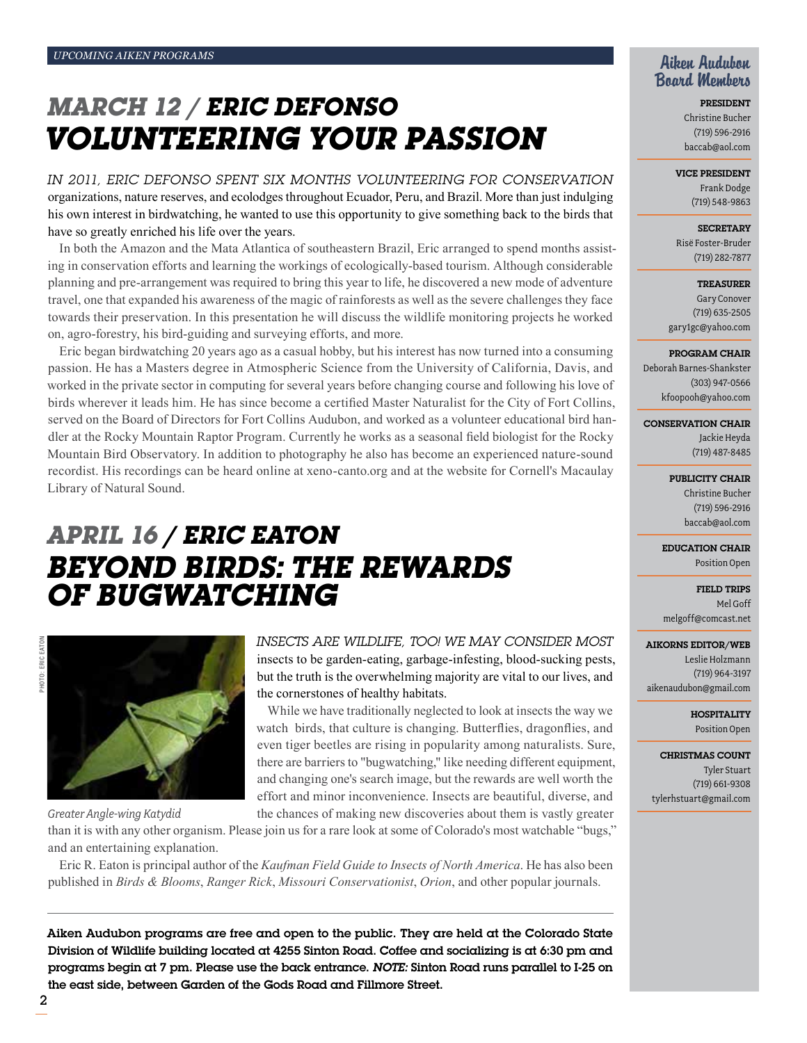## *March 12 / Eric DeFonso Volunteering Your Passion*

*In 2011, Eric DeFonso spent six months Volunteering for conservation*  organizations, nature reserves, and ecolodges throughout Ecuador, Peru, and Brazil. More than just indulging his own interest in birdwatching, he wanted to use this opportunity to give something back to the birds that have so greatly enriched his life over the years.

In both the Amazon and the Mata Atlantica of southeastern Brazil, Eric arranged to spend months assisting in conservation efforts and learning the workings of ecologically-based tourism. Although considerable planning and pre-arrangement was required to bring this year to life, he discovered a new mode of adventure travel, one that expanded his awareness of the magic of rainforests as well as the severe challenges they face towards their preservation. In this presentation he will discuss the wildlife monitoring projects he worked on, agro-forestry, his bird-guiding and surveying efforts, and more.

Eric began birdwatching 20 years ago as a casual hobby, but his interest has now turned into a consuming passion. He has a Masters degree in Atmospheric Science from the University of California, Davis, and worked in the private sector in computing for several years before changing course and following his love of birds wherever it leads him. He has since become a certified Master Naturalist for the City of Fort Collins, served on the Board of Directors for Fort Collins Audubon, and worked as a volunteer educational bird handler at the Rocky Mountain Raptor Program. Currently he works as a seasonal field biologist for the Rocky Mountain Bird Observatory. In addition to photography he also has become an experienced nature-sound recordist. His recordings can be heard online at xeno-canto.org and at the website for Cornell's Macaulay Library of Natural Sound.

## *april 16 / Eric Eaton Beyond birDs: The rewards of bugwatching*



*Greater Angle-wing Katydid*

## *Insects are wildlife, too! We may consider most*  insects to be garden-eating, garbage-infesting, blood-sucking pests, but the truth is the overwhelming majority are vital to our lives, and the cornerstones of healthy habitats.

While we have traditionally neglected to look at insects the way we watch birds, that culture is changing. Butterflies, dragonflies, and even tiger beetles are rising in popularity among naturalists. Sure, there are barriers to "bugwatching," like needing different equipment, and changing one's search image, but the rewards are well worth the effort and minor inconvenience. Insects are beautiful, diverse, and the chances of making new discoveries about them is vastly greater

than it is with any other organism. Please join us for a rare look at some of Colorado's most watchable "bugs," and an entertaining explanation.

Eric R. Eaton is principal author of the *Kaufman Field Guide to Insects of North America*. He has also been published in *Birds & Blooms*, *Ranger Rick*, *Missouri Conservationist*, *Orion*, and other popular journals.

Aiken Audubon programs are free and open to the public. They are held at the Colorado State Division of Wildlife building located at 4255 Sinton Road. Coffee and socializing is at 6:30 pm and programs begin at 7 pm. Please use the back entrance. *Note:* Sinton Road runs parallel to I-25 on the east side, between Garden of the Gods Road and Fillmore Street.

## Aiken Audubon Board Members

President Christine Bucher (719) 596-2916 baccab@aol.com

#### Vice President

Frank Dodge (719) 548-9863

**SECRETARY** Risë Foster-Bruder (719) 282-7877

**TREASURER** Gary Conover (719) 635-2505 gary1gc@yahoo.com

#### Program Chair

Deborah Barnes-Shankster (303) 947-0566 kfoopooh@yahoo.com

Conservation Chair

Jackie Heyda (719) 487-8485

#### PUBLICITY CHAIR

Christine Bucher (719) 596-2916 baccab@aol.com

Education Chair Position Open

Field Trips Mel Goff melgoff@comcast.net

#### Aikorns Editor/Web

Leslie Holzmann (719) 964-3197 aikenaudubon@gmail.com

> **HOSPITALITY** Position Open

Christmas Count Tyler Stuart (719) 661-9308 tylerhstuart@gmail.com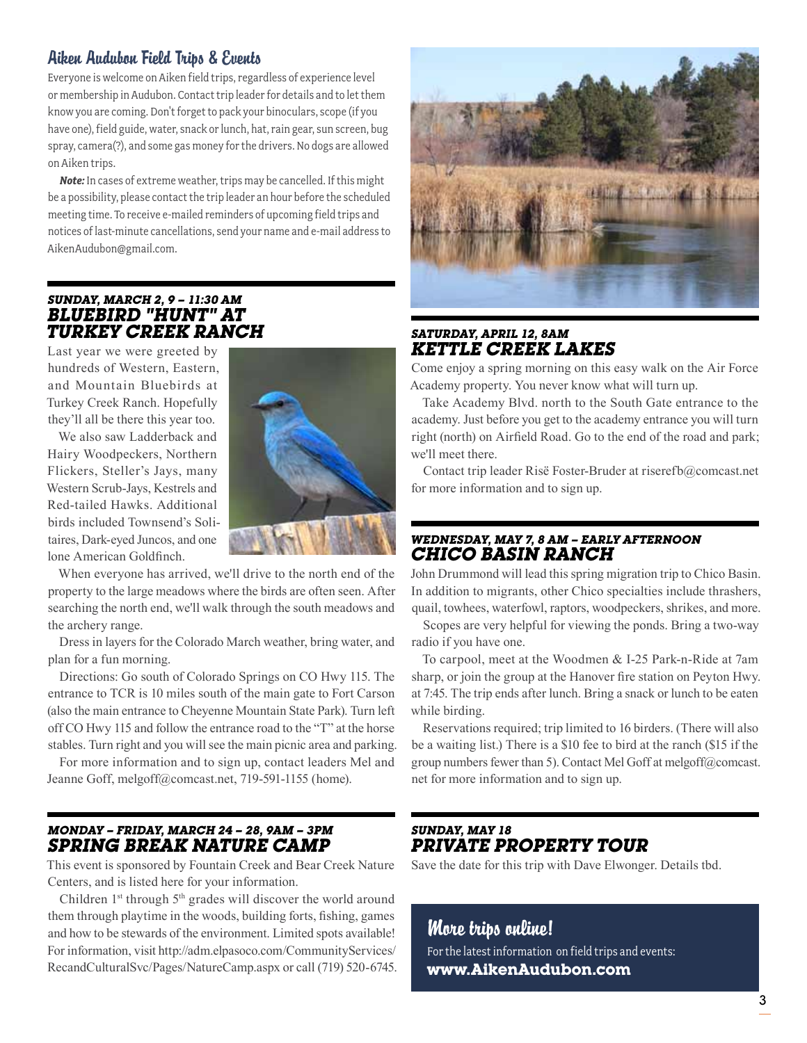## Aiken Audubon Field Trips & Events

Everyone is welcome on Aiken field trips, regardless of experience level or membership in Audubon. Contact trip leader for details and to let them know you are coming. Don't forget to pack your binoculars, scope (if you have one), field guide, water, snack or lunch, hat, rain gear, sun screen, bug spray, camera(?), and some gas money for the drivers. No dogs are allowed on Aiken trips.

*Note:* In cases of extreme weather, trips may be cancelled. If this might be a possibility, please contact the trip leader an hour before the scheduled meeting time. To receive e-mailed reminders of upcoming field trips and notices of last-minute cancellations, send your name and e-mail address to AikenAudubon@gmail.com.

## *Sunday, March 2, 9 – 11:30 am Bluebird "Hunt" at Turkey Creek Ranch*

Last year we were greeted by hundreds of Western, Eastern, and Mountain Bluebirds at Turkey Creek Ranch. Hopefully they'll all be there this year too.

We also saw Ladderback and Hairy Woodpeckers, Northern Flickers, Steller's Jays, many Western Scrub-Jays, Kestrels and Red-tailed Hawks. Additional birds included Townsend's Solitaires, Dark-eyed Juncos, and one lone American Goldfinch.



When everyone has arrived, we'll drive to the north end of the property to the large meadows where the birds are often seen. After searching the north end, we'll walk through the south meadows and the archery range.

Dress in layers for the Colorado March weather, bring water, and plan for a fun morning.

Directions: Go south of Colorado Springs on CO Hwy 115. The entrance to TCR is 10 miles south of the main gate to Fort Carson (also the main entrance to Cheyenne Mountain State Park). Turn left off CO Hwy 115 and follow the entrance road to the "T" at the horse stables. Turn right and you will see the main picnic area and parking.

For more information and to sign up, contact leaders Mel and Jeanne Goff, melgoff@comcast.net, 719-591-1155 (home).

## *Monday – Friday, March 24 – 28, 9AM – 3PM Spring break nature camp*

This event is sponsored by Fountain Creek and Bear Creek Nature Centers, and is listed here for your information.

Children  $1<sup>st</sup>$  through  $5<sup>th</sup>$  grades will discover the world around them through playtime in the woods, building forts, fishing, games and how to be stewards of the environment. Limited spots available! For information, visit http://adm.elpasoco.com/CommunityServices/ RecandCulturalSvc/Pages/NatureCamp.aspx or call (719) 520-6745.



### *Saturday, April 12, 8am Kettle Creek Lakes*

Come enjoy a spring morning on this easy walk on the Air Force Academy property. You never know what will turn up.

Take Academy Blvd. north to the South Gate entrance to the academy. Just before you get to the academy entrance you will turn right (north) on Airfield Road. Go to the end of the road and park; we'll meet there.

Contact trip leader Risë Foster-Bruder at riserefb@comcast.net for more information and to sign up.

#### *Wednesday, May 7, 8 am – early afternoon Chico Basin Ranch*

John Drummond will lead this spring migration trip to Chico Basin. In addition to migrants, other Chico specialties include thrashers, quail, towhees, waterfowl, raptors, woodpeckers, shrikes, and more.

Scopes are very helpful for viewing the ponds. Bring a two-way radio if you have one.

To carpool, meet at the Woodmen & I-25 Park-n-Ride at 7am sharp, or join the group at the Hanover fire station on Peyton Hwy. at 7:45. The trip ends after lunch. Bring a snack or lunch to be eaten while birding.

Reservations required; trip limited to 16 birders. (There will also be a waiting list.) There is a \$10 fee to bird at the ranch (\$15 if the group numbers fewer than 5). Contact Mel Goff at melgoff@comcast. net for more information and to sign up.

### *Sunday, May 18 Private Property Tour*

Save the date for this trip with Dave Elwonger. Details tbd.

## More trips online!

For the latest information on field trips and events: **www.AikenAudubon.com**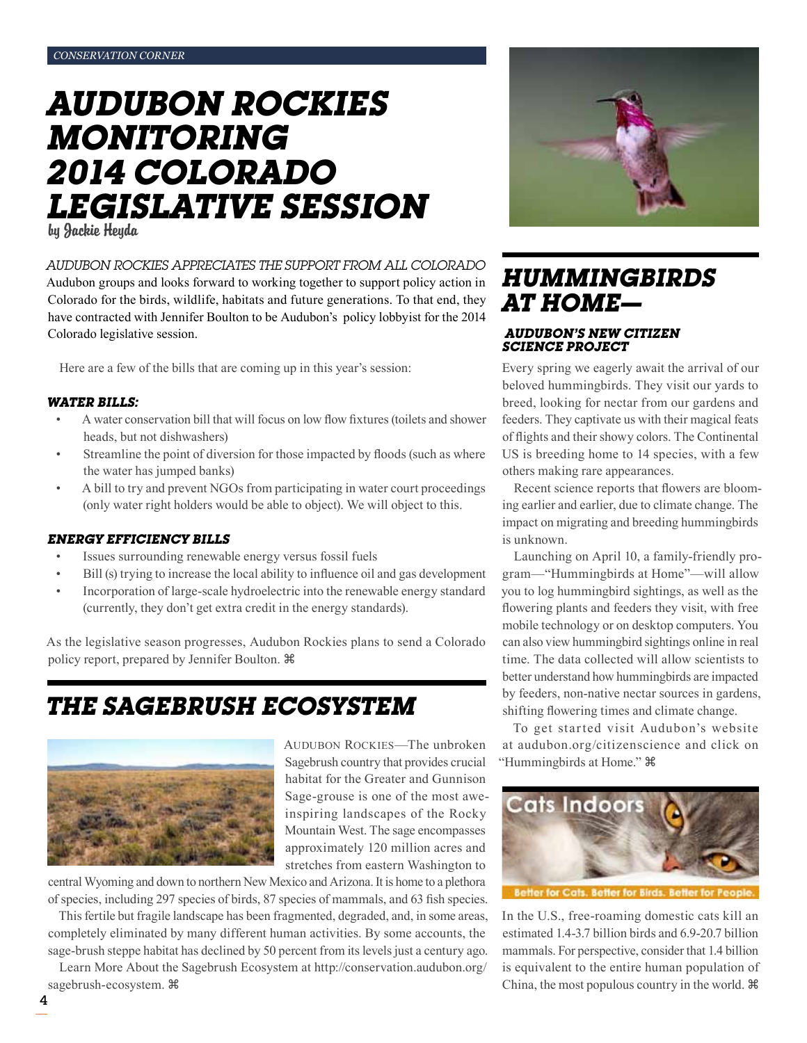## *Audubon rockies Monitoring 2014 colorado Legislative Session*

by Jackie Heyda

### *Audubon Rockies appreciates the support from all Colorado*

Audubon groups and looks forward to working together to support policy action in Colorado for the birds, wildlife, habitats and future generations. To that end, they have contracted with Jennifer Boulton to be Audubon's policy lobbyist for the 2014 Colorado legislative session.

Here are a few of the bills that are coming up in this year's session:

#### *Water bills:*

- A water conservation bill that will focus on low flow fixtures (toilets and shower heads, but not dishwashers)
- Streamline the point of diversion for those impacted by floods (such as where the water has jumped banks)
- A bill to try and prevent NGOs from participating in water court proceedings (only water right holders would be able to object). We will object to this.

#### *Energy Efficiency Bills*

- Issues surrounding renewable energy versus fossil fuels
- Bill (s) trying to increase the local ability to influence oil and gas development
- Incorporation of large-scale hydroelectric into the renewable energy standard (currently, they don't get extra credit in the energy standards).

As the legislative season progresses, Audubon Rockies plans to send a Colorado policy report, prepared by Jennifer Boulton.

## *The Sagebrush Ecosystem*



AUDUBON ROCKIES-The unbroken Sagebrush country that provides crucial habitat for the Greater and Gunnison Sage-grouse is one of the most aweinspiring landscapes of the Rocky Mountain West. The sage encompasses approximately 120 million acres and stretches from eastern Washington to

central Wyoming and down to northern New Mexico and Arizona. It is home to a plethora of species, including 297 species of birds, 87 species of mammals, and 63 fish species.

This fertile but fragile landscape has been fragmented, degraded, and, in some areas, completely eliminated by many different human activities. By some accounts, the sage-brush steppe habitat has declined by 50 percent from its levels just a century ago.

Learn More About the Sagebrush Ecosystem at http://conservation.audubon.org/ sagebrush-ecosystem.



## *Hummingbirds at Home—*

#### *Audubon's New Citizen Science Project*

Every spring we eagerly await the arrival of our beloved hummingbirds. They visit our yards to breed, looking for nectar from our gardens and feeders. They captivate us with their magical feats of flights and their showy colors. The Continental US is breeding home to 14 species, with a few others making rare appearances.

Recent science reports that flowers are blooming earlier and earlier, due to climate change. The impact on migrating and breeding hummingbirds is unknown.

Launching on April 10, a family-friendly program—"Hummingbirds at Home"—will allow you to log hummingbird sightings, as well as the flowering plants and feeders they visit, with free mobile technology or on desktop computers. You can also view hummingbird sightings online in real time. The data collected will allow scientists to better understand how hummingbirds are impacted by feeders, non-native nectar sources in gardens, shifting flowering times and climate change.

To get started visit Audubon's website at audubon.org/citizenscience and click on "Hummingbirds at Home."



Better for Cats. Better for Birds. Better fo

In the U.S., free-roaming domestic cats kill an estimated 1.4-3.7 billion birds and 6.9-20.7 billion mammals. For perspective, consider that 1.4 billion is equivalent to the entire human population of China, the most populous country in the world.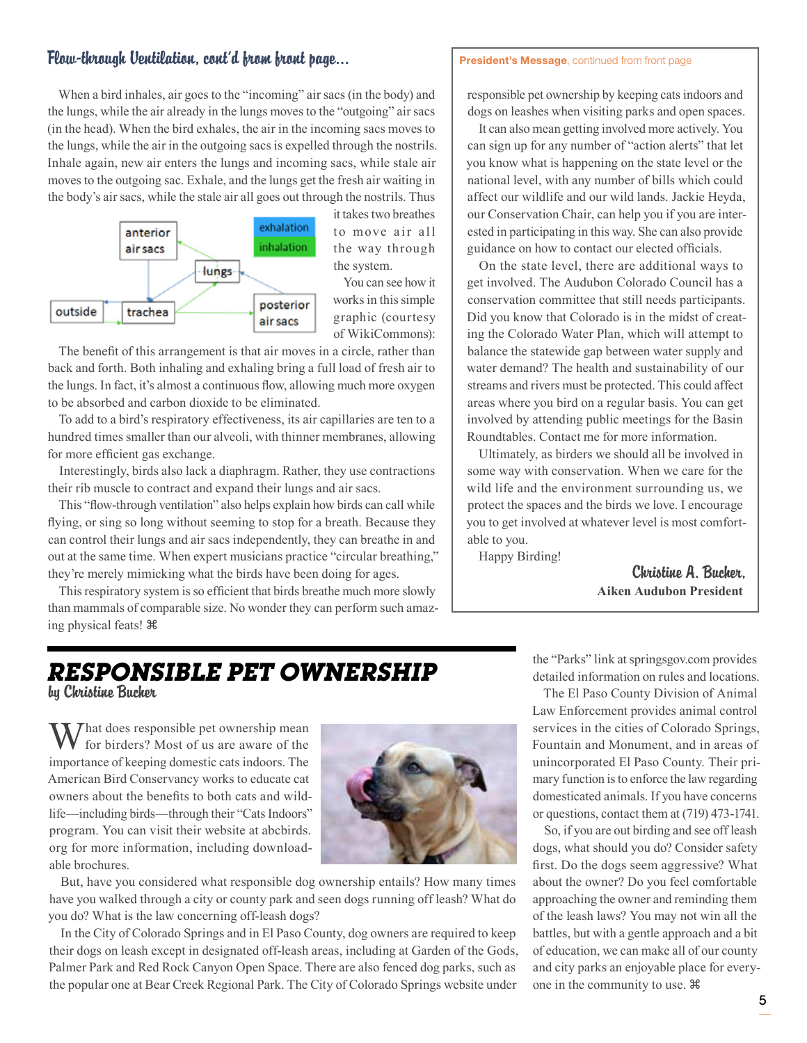## Flow-through Ventilation, cont'd from front page...

#### President's Message, continued from front page

When a bird inhales, air goes to the "incoming" air sacs (in the body) and the lungs, while the air already in the lungs moves to the "outgoing" air sacs (in the head). When the bird exhales, the air in the incoming sacs moves to the lungs, while the air in the outgoing sacs is expelled through the nostrils. Inhale again, new air enters the lungs and incoming sacs, while stale air moves to the outgoing sac. Exhale, and the lungs get the fresh air waiting in the body's air sacs, while the stale air all goes out through the nostrils. Thus



it takes two breathes to move air all the way through the system.

You can see how it works in this simple graphic (courtesy of WikiCommons):

The benefit of this arrangement is that air moves in a circle, rather than back and forth. Both inhaling and exhaling bring a full load of fresh air to the lungs. In fact, it's almost a continuous flow, allowing much more oxygen to be absorbed and carbon dioxide to be eliminated.

To add to a bird's respiratory effectiveness, its air capillaries are ten to a hundred times smaller than our alveoli, with thinner membranes, allowing for more efficient gas exchange.

Interestingly, birds also lack a diaphragm. Rather, they use contractions their rib muscle to contract and expand their lungs and air sacs.

This "flow-through ventilation" also helps explain how birds can call while flying, or sing so long without seeming to stop for a breath. Because they can control their lungs and air sacs independently, they can breathe in and out at the same time. When expert musicians practice "circular breathing," they're merely mimicking what the birds have been doing for ages.

This respiratory system is so efficient that birds breathe much more slowly than mammals of comparable size. No wonder they can perform such amazing physical feats!

responsible pet ownership by keeping cats indoors and dogs on leashes when visiting parks and open spaces.

It can also mean getting involved more actively. You can sign up for any number of "action alerts" that let you know what is happening on the state level or the national level, with any number of bills which could affect our wildlife and our wild lands. Jackie Heyda, our Conservation Chair, can help you if you are interested in participating in this way. She can also provide guidance on how to contact our elected officials.

On the state level, there are additional ways to get involved. The Audubon Colorado Council has a conservation committee that still needs participants. Did you know that Colorado is in the midst of creating the Colorado Water Plan, which will attempt to balance the statewide gap between water supply and water demand? The health and sustainability of our streams and rivers must be protected. This could affect areas where you bird on a regular basis. You can get involved by attending public meetings for the Basin Roundtables. Contact me for more information.

Ultimately, as birders we should all be involved in some way with conservation. When we care for the wild life and the environment surrounding us, we protect the spaces and the birds we love. I encourage you to get involved at whatever level is most comfortable to you.

Happy Birding!

Christine A. Bucher, **Aiken Audubon President**

## *Responsible Pet Ownership* by Christine Bucher

That does responsible pet ownership mean for birders? Most of us are aware of the importance of keeping domestic cats indoors. The American Bird Conservancy works to educate cat owners about the benefits to both cats and wildlife—including birds—through their "Cats Indoors" program. You can visit their website at abcbirds. org for more information, including downloadable brochures.



But, have you considered what responsible dog ownership entails? How many times have you walked through a city or county park and seen dogs running off leash? What do you do? What is the law concerning off-leash dogs?

In the City of Colorado Springs and in El Paso County, dog owners are required to keep their dogs on leash except in designated off-leash areas, including at Garden of the Gods, Palmer Park and Red Rock Canyon Open Space. There are also fenced dog parks, such as the popular one at Bear Creek Regional Park. The City of Colorado Springs website under

the "Parks" link at springsgov.com provides detailed information on rules and locations.

The El Paso County Division of Animal Law Enforcement provides animal control services in the cities of Colorado Springs, Fountain and Monument, and in areas of unincorporated El Paso County. Their primary function is to enforce the law regarding domesticated animals. If you have concerns or questions, contact them at (719) 473-1741.

So, if you are out birding and see off leash dogs, what should you do? Consider safety first. Do the dogs seem aggressive? What about the owner? Do you feel comfortable approaching the owner and reminding them of the leash laws? You may not win all the battles, but with a gentle approach and a bit of education, we can make all of our county and city parks an enjoyable place for everyone in the community to use.